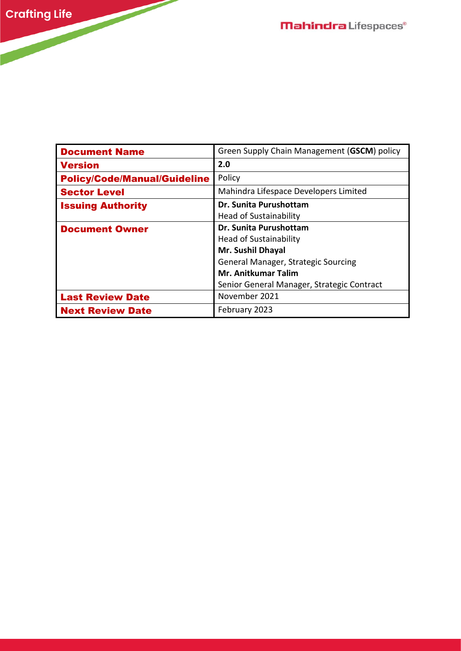| <b>Document Name</b>                | Green Supply Chain Management (GSCM) policy |
|-------------------------------------|---------------------------------------------|
| <b>Version</b>                      | 2.0                                         |
| <b>Policy/Code/Manual/Guideline</b> | Policy                                      |
| <b>Sector Level</b>                 | Mahindra Lifespace Developers Limited       |
| <b>Issuing Authority</b>            | Dr. Sunita Purushottam                      |
|                                     | <b>Head of Sustainability</b>               |
| <b>Document Owner</b>               | Dr. Sunita Purushottam                      |
|                                     | <b>Head of Sustainability</b>               |
|                                     | <b>Mr. Sushil Dhayal</b>                    |
|                                     | General Manager, Strategic Sourcing         |
|                                     | <b>Mr. Anitkumar Talim</b>                  |
|                                     | Senior General Manager, Strategic Contract  |
| <b>Last Review Date</b>             | November 2021                               |
| <b>Next Review Date</b>             | February 2023                               |